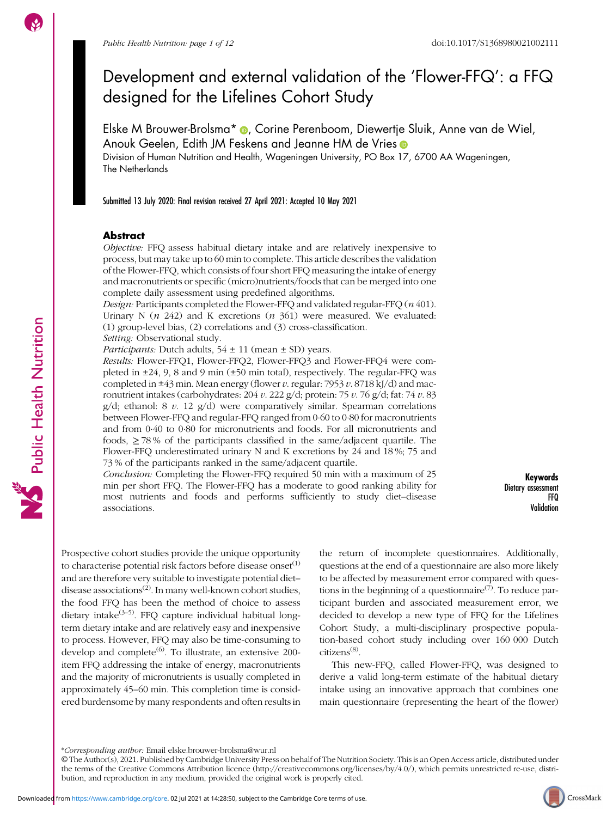# Development and external validation of the 'Flower-FFQ': a FFQ designed for the Lifelines Cohort Study

Elske M Brouwer-Brolsma\* (D, Corine Perenboom, Diewertje Sluik, Anne van de Wiel, Anouk Geelen, Edith JM Feskens and Jeanne HM de Vries <sup>®</sup>

Division of Human Nutrition and Health, Wageningen University, PO Box 17, 6700 AA Wageningen, The Netherlands

Submitted 13 July 2020: Final revision received 27 April 2021: Accepted 10 May 2021

### Abstract

Objective: FFQ assess habitual dietary intake and are relatively inexpensive to process, but may take up to 60 min to complete. This article describes the validation of the Flower-FFQ, which consists of four short FFQ measuring the intake of energy and macronutrients or specific (micro)nutrients/foods that can be merged into one complete daily assessment using predefined algorithms.

Design: Participants completed the Flower-FFQ and validated regular-FFQ (n 401). Urinary N ( $n$  242) and K excretions ( $n$  361) were measured. We evaluated: (1) group-level bias, (2) correlations and (3) cross-classification.

Setting: Observational study.

*Participants:* Dutch adults,  $54 \pm 11$  (mean  $\pm$  SD) years.

Results: Flower-FFQ1, Flower-FFQ2, Flower-FFQ3 and Flower-FFQ4 were completed in  $\pm 24$ , 9, 8 and 9 min ( $\pm 50$  min total), respectively. The regular-FFQ was completed in  $\pm 43$  min. Mean energy (flower v. regular: 7953 v. 8718 kJ/d) and macronutrient intakes (carbohydrates: 204 v. 222 g/d; protein: 75 v. 76 g/d; fat: 74 v. 83  $g/d$ ; ethanol: 8 v. 12  $g/d$ ) were comparatively similar. Spearman correlations between Flower-FFQ and regular-FFQ ranged from 0·60 to 0·80 for macronutrients and from 0·40 to 0·80 for micronutrients and foods. For all micronutrients and foods,  $\geq$  78% of the participants classified in the same/adjacent quartile. The Flower-FFQ underestimated urinary N and K excretions by 24 and 18 %; 75 and 73 % of the participants ranked in the same/adjacent quartile.

Conclusion: Completing the Flower-FFQ required 50 min with a maximum of 25 min per short FFQ. The Flower-FFQ has a moderate to good ranking ability for most nutrients and foods and performs sufficiently to study diet–disease associations.

Keywords Dietary assessment FFQ Validation

Prospective cohort studies provide the unique opportunity to characterise potential risk factors before disease onset $(1)$ and are therefore very suitable to investigate potential diet– disease associations<sup>([2](#page-10-0))</sup>. In many well-known cohort studies, the food FFQ has been the method of choice to assess dietary intake $(3-5)$  $(3-5)$  $(3-5)$  $(3-5)$ . FFQ capture individual habitual longterm dietary intake and are relatively easy and inexpensive to process. However, FFQ may also be time-consuming to develop and complete<sup> $(6)$ </sup>. To illustrate, an extensive 200item FFQ addressing the intake of energy, macronutrients and the majority of micronutrients is usually completed in approximately 45–60 min. This completion time is considered burdensome by many respondents and often results in the return of incomplete questionnaires. Additionally, questions at the end of a questionnaire are also more likely to be affected by measurement error compared with questions in the beginning of a questionnaire<sup> $(7)$ </sup>. To reduce participant burden and associated measurement error, we decided to develop a new type of FFQ for the Lifelines Cohort Study, a multi-disciplinary prospective population-based cohort study including over 160 000 Dutch citizens<sup>([8](#page-10-0))</sup>.

This new-FFQ, called Flower-FFQ, was designed to derive a valid long-term estimate of the habitual dietary intake using an innovative approach that combines one main questionnaire (representing the heart of the flower)

\*Corresponding author: Email elske.brouwer-brolsma@wur.nl



<sup>©</sup> The Author(s), 2021. Published by Cambridge University Press on behalf of The Nutrition Society. This is an Open Access article, distributed under the terms of the Creative Commons Attribution licence [\(http://creativecommons.org/licenses/by/4.0/\)](http://creativecommons.org/licenses/by/4.0/), which permits unrestricted re-use, distribution, and reproduction in any medium, provided the original work is properly cited.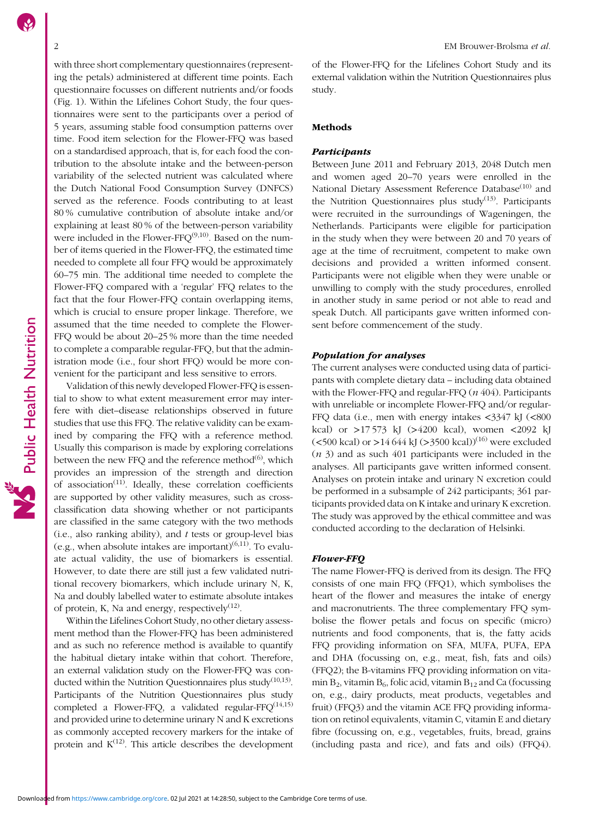with three short complementary questionnaires (representing the petals) administered at different time points. Each questionnaire focusses on different nutrients and/or foods (Fig. [1](#page-2-0)). Within the Lifelines Cohort Study, the four questionnaires were sent to the participants over a period of 5 years, assuming stable food consumption patterns over time. Food item selection for the Flower-FFQ was based on a standardised approach, that is, for each food the contribution to the absolute intake and the between-person variability of the selected nutrient was calculated where the Dutch National Food Consumption Survey (DNFCS) served as the reference. Foods contributing to at least 80 % cumulative contribution of absolute intake and/or explaining at least 80 % of the between-person variability were included in the Flower-FFQ<sup>([9](#page-10-0),[10](#page-10-0))</sup>. Based on the number of items queried in the Flower-FFQ, the estimated time needed to complete all four FFQ would be approximately 60–75 min. The additional time needed to complete the Flower-FFQ compared with a 'regular' FFQ relates to the fact that the four Flower-FFQ contain overlapping items, which is crucial to ensure proper linkage. Therefore, we assumed that the time needed to complete the Flower-FFQ would be about 20–25 % more than the time needed to complete a comparable regular-FFQ, but that the administration mode (i.e., four short FFQ) would be more convenient for the participant and less sensitive to errors.

Validation of this newly developed Flower-FFQ is essential to show to what extent measurement error may interfere with diet–disease relationships observed in future studies that use this FFQ. The relative validity can be examined by comparing the FFQ with a reference method. Usually this comparison is made by exploring correlations between the new FFO and the reference method $^{(6)}$  $^{(6)}$  $^{(6)}$ , which provides an impression of the strength and direction of association<sup> $(11)$  $(11)$ </sup>. Ideally, these correlation coefficients are supported by other validity measures, such as crossclassification data showing whether or not participants are classified in the same category with the two methods (i.e., also ranking ability), and  $t$  tests or group-level bias (e.g., when absolute intakes are important) $(6,11)$  $(6,11)$  $(6,11)$  $(6,11)$  $(6,11)$ . To evaluate actual validity, the use of biomarkers is essential. However, to date there are still just a few validated nutritional recovery biomarkers, which include urinary N, K, Na and doubly labelled water to estimate absolute intakes of protein, K, Na and energy, respectively $(12)$  $(12)$ .

Within the Lifelines Cohort Study, no other dietary assessment method than the Flower-FFQ has been administered and as such no reference method is available to quantify the habitual dietary intake within that cohort. Therefore, an external validation study on the Flower-FFQ was conducted within the Nutrition Questionnaires plus study $(10,13)$  $(10,13)$  $(10,13)$  $(10,13)$  $(10,13)$ . Participants of the Nutrition Questionnaires plus study completed a Flower-FFQ, a validated regular-FFQ<sup>([14](#page-10-0)[,15](#page-11-0))</sup> and provided urine to determine urinary N and K excretions as commonly accepted recovery markers for the intake of protein and  $K^{(12)}$  $K^{(12)}$  $K^{(12)}$ . This article describes the development of the Flower-FFQ for the Lifelines Cohort Study and its external validation within the Nutrition Questionnaires plus study.

#### Methods

## Participants

Between June 2011 and February 2013, 2048 Dutch men and women aged 20–70 years were enrolled in the National Dietary Assessment Reference Database<sup>([10](#page-10-0))</sup> and the Nutrition Questionnaires plus study<sup> $(13)$  $(13)$  $(13)$ </sup>. Participants were recruited in the surroundings of Wageningen, the Netherlands. Participants were eligible for participation in the study when they were between 20 and 70 years of age at the time of recruitment, competent to make own decisions and provided a written informed consent. Participants were not eligible when they were unable or unwilling to comply with the study procedures, enrolled in another study in same period or not able to read and speak Dutch. All participants gave written informed consent before commencement of the study.

#### Population for analyses

The current analyses were conducted using data of participants with complete dietary data – including data obtained with the Flower-FFQ and regular-FFQ  $(n\ 404)$ . Participants with unreliable or incomplete Flower-FFQ and/or regular-FFQ data (i.e., men with energy intakes <3347 kJ (<800 kcal) or >17 573 kJ (>4200 kcal), women <2092 kJ ( $500$  kcal) or  $>14644$  kJ ( $>3500$  kcal))<sup>([16](#page-11-0))</sup> were excluded  $(n 3)$  and as such 401 participants were included in the analyses. All participants gave written informed consent. Analyses on protein intake and urinary N excretion could be performed in a subsample of 242 participants; 361 participants provided data on K intake and urinary K excretion. The study was approved by the ethical committee and was conducted according to the declaration of Helsinki.

#### Flower-FFQ

The name Flower-FFQ is derived from its design. The FFQ consists of one main FFQ (FFQ1), which symbolises the heart of the flower and measures the intake of energy and macronutrients. The three complementary FFQ symbolise the flower petals and focus on specific (micro) nutrients and food components, that is, the fatty acids FFQ providing information on SFA, MUFA, PUFA, EPA and DHA (focussing on, e.g., meat, fish, fats and oils) (FFQ2); the B-vitamins FFQ providing information on vitamin  $B_2$ , vitamin  $B_6$ , folic acid, vitamin  $B_{12}$  and Ca (focussing on, e.g., dairy products, meat products, vegetables and fruit) (FFQ3) and the vitamin ACE FFQ providing information on retinol equivalents, vitamin C, vitamin E and dietary fibre (focussing on, e.g., vegetables, fruits, bread, grains (including pasta and rice), and fats and oils) (FFQ4).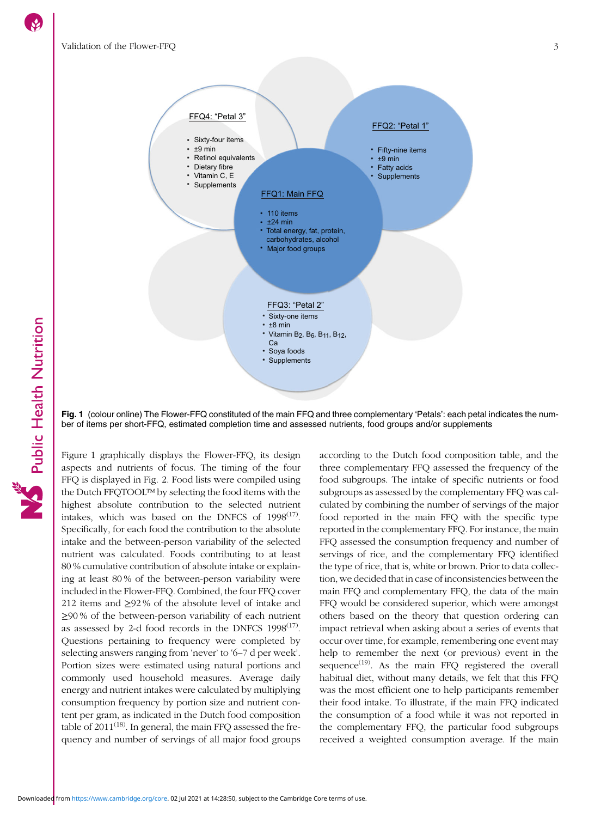<span id="page-2-0"></span>

Fig. 1 (colour online) The Flower-FFQ constituted of the main FFQ and three complementary 'Petals': each petal indicates the number of items per short-FFQ, estimated completion time and assessed nutrients, food groups and/or supplements

Figure 1 graphically displays the Flower-FFQ, its design aspects and nutrients of focus. The timing of the four FFQ is displayed in Fig. [2.](#page-3-0) Food lists were compiled using the Dutch FFQTOOL™ by selecting the food items with the highest absolute contribution to the selected nutrient intakes, which was based on the DNFCS of  $1998^{(17)}$  $1998^{(17)}$  $1998^{(17)}$ . Specifically, for each food the contribution to the absolute intake and the between-person variability of the selected nutrient was calculated. Foods contributing to at least 80 % cumulative contribution of absolute intake or explaining at least 80 % of the between-person variability were included in the Flower-FFQ. Combined, the four FFQ cover 212 items and ≥92 % of the absolute level of intake and ≥90 % of the between-person variability of each nutrient as assessed by 2-d food records in the DNFCS  $1998^{(17)}$  $1998^{(17)}$  $1998^{(17)}$ . Questions pertaining to frequency were completed by selecting answers ranging from 'never' to '6–7 d per week'. Portion sizes were estimated using natural portions and commonly used household measures. Average daily energy and nutrient intakes were calculated by multiplying consumption frequency by portion size and nutrient content per gram, as indicated in the Dutch food composition table of  $2011^{(18)}$  $2011^{(18)}$  $2011^{(18)}$ . In general, the main FFQ assessed the frequency and number of servings of all major food groups

according to the Dutch food composition table, and the three complementary FFQ assessed the frequency of the food subgroups. The intake of specific nutrients or food subgroups as assessed by the complementary FFQ was calculated by combining the number of servings of the major food reported in the main FFQ with the specific type reported in the complementary FFQ. For instance, the main FFQ assessed the consumption frequency and number of servings of rice, and the complementary FFQ identified the type of rice, that is, white or brown. Prior to data collection, we decided that in case of inconsistencies between the main FFQ and complementary FFQ, the data of the main FFQ would be considered superior, which were amongst others based on the theory that question ordering can impact retrieval when asking about a series of events that occur over time, for example, remembering one event may help to remember the next (or previous) event in the sequence $^{(19)}$  $^{(19)}$  $^{(19)}$ . As the main FFQ registered the overall habitual diet, without many details, we felt that this FFQ was the most efficient one to help participants remember their food intake. To illustrate, if the main FFQ indicated the consumption of a food while it was not reported in the complementary FFQ, the particular food subgroups received a weighted consumption average. If the main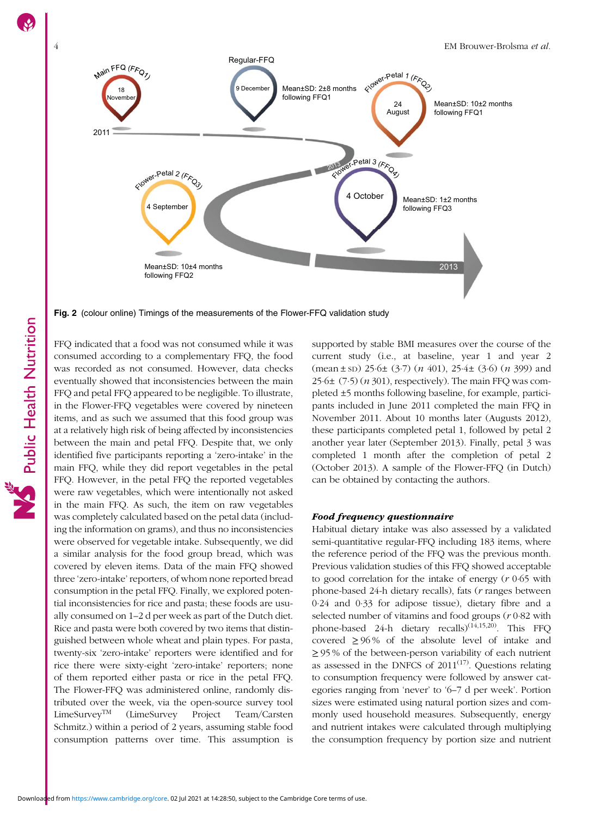<span id="page-3-0"></span>

Fig. 2 (colour online) Timings of the measurements of the Flower-FFQ validation study

FFQ indicated that a food was not consumed while it was consumed according to a complementary FFQ, the food was recorded as not consumed. However, data checks eventually showed that inconsistencies between the main FFQ and petal FFQ appeared to be negligible. To illustrate, in the Flower-FFQ vegetables were covered by nineteen items, and as such we assumed that this food group was at a relatively high risk of being affected by inconsistencies between the main and petal FFQ. Despite that, we only identified five participants reporting a 'zero-intake' in the main FFQ, while they did report vegetables in the petal FFQ. However, in the petal FFQ the reported vegetables were raw vegetables, which were intentionally not asked in the main FFQ. As such, the item on raw vegetables was completely calculated based on the petal data (including the information on grams), and thus no inconsistencies were observed for vegetable intake. Subsequently, we did a similar analysis for the food group bread, which was covered by eleven items. Data of the main FFQ showed three 'zero-intake' reporters, of whom none reported bread consumption in the petal FFQ. Finally, we explored potential inconsistencies for rice and pasta; these foods are usually consumed on 1–2 d per week as part of the Dutch diet. Rice and pasta were both covered by two items that distinguished between whole wheat and plain types. For pasta, twenty-six 'zero-intake' reporters were identified and for rice there were sixty-eight 'zero-intake' reporters; none of them reported either pasta or rice in the petal FFQ. The Flower-FFQ was administered online, randomly distributed over the week, via the open-source survey tool LimeSurveyTM (LimeSurvey Project Team/Carsten Schmitz.) within a period of 2 years, assuming stable food consumption patterns over time. This assumption is supported by stable BMI measures over the course of the current study (i.e., at baseline, year 1 and year 2  $(\text{mean} \pm \text{SD})$  25 $\cdot$ 6 $\pm$  (3 $\cdot$ 7) (*n* 401), 25 $\cdot$ 4 $\pm$  (3 $\cdot$ 6) (*n* 399) and  $25.6\pm(7.5)$  (*n* 301), respectively). The main FFQ was completed ±5 months following baseline, for example, participants included in June 2011 completed the main FFQ in November 2011. About 10 months later (Augusts 2012), these participants completed petal 1, followed by petal 2 another year later (September 2013). Finally, petal 3 was completed 1 month after the completion of petal 2 (October 2013). A sample of the Flower-FFQ (in Dutch) can be obtained by contacting the authors.

#### Food frequency questionnaire

Habitual dietary intake was also assessed by a validated semi-quantitative regular-FFQ including 183 items, where the reference period of the FFQ was the previous month. Previous validation studies of this FFQ showed acceptable to good correlation for the intake of energy  $(r 0.65 \text{ with}$ phone-based 24-h dietary recalls), fats (r ranges between 0·24 and 0·33 for adipose tissue), dietary fibre and a selected number of vitamins and food groups (r 0·82 with phone-based 24-h dietary recalls)<sup>[\(14](#page-10-0)[,15,20](#page-11-0))</sup>. This FFO covered  $\geq$  96% of the absolute level of intake and ≥ 95 % of the between-person variability of each nutrient as assessed in the DNFCS of  $2011^{(17)}$  $2011^{(17)}$  $2011^{(17)}$ . Questions relating to consumption frequency were followed by answer categories ranging from 'never' to '6–7 d per week'. Portion sizes were estimated using natural portion sizes and commonly used household measures. Subsequently, energy and nutrient intakes were calculated through multiplying the consumption frequency by portion size and nutrient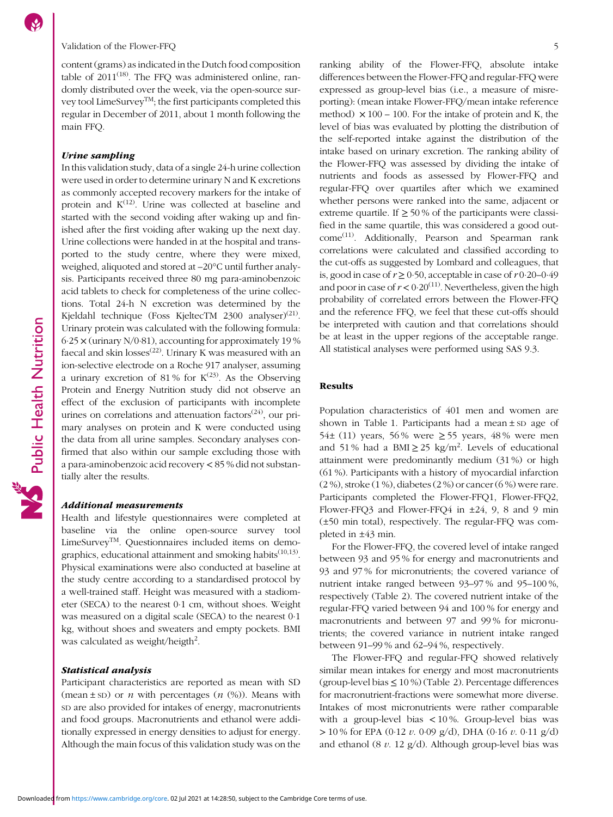# Validation of the Flower-FFO 5

content (grams) as indicated in the Dutch food composition table of  $2011^{(18)}$  $2011^{(18)}$  $2011^{(18)}$ . The FFQ was administered online, randomly distributed over the week, via the open-source survey tool LimeSurveyTM; the first participants completed this regular in December of 2011, about 1 month following the main FFQ.

# Urine sampling

In this validation study, data of a single 24-h urine collection were used in order to determine urinary N and K excretions as commonly accepted recovery markers for the intake of protein and  $K^{(12)}$  $K^{(12)}$  $K^{(12)}$ . Urine was collected at baseline and started with the second voiding after waking up and finished after the first voiding after waking up the next day. Urine collections were handed in at the hospital and transported to the study centre, where they were mixed, weighed, aliquoted and stored at –20°C until further analysis. Participants received three 80 mg para-aminobenzoic acid tablets to check for completeness of the urine collections. Total 24-h N excretion was determined by the Kjeldahl technique (Foss KjeltecTM 2300 analyser)<sup>([21](#page-11-0))</sup>. Urinary protein was calculated with the following formula: 6·25 × (urinary N/0·81), accounting for approximately 19 % faecal and skin losses<sup>([22](#page-11-0))</sup>. Urinary K was measured with an ion-selective electrode on a Roche 917 analyser, assuming a urinary excretion of 81% for  $K^{(23)}$  $K^{(23)}$  $K^{(23)}$ . As the Observing Protein and Energy Nutrition study did not observe an effect of the exclusion of participants with incomplete urines on correlations and attenuation factors $(24)$  $(24)$  $(24)$ , our primary analyses on protein and K were conducted using the data from all urine samples. Secondary analyses confirmed that also within our sample excluding those with a para-aminobenzoic acid recovery < 85 % did not substantially alter the results.

#### Additional measurements

Health and lifestyle questionnaires were completed at baseline via the online open-source survey tool LimeSurvey™. Questionnaires included items on demographics, educational attainment and smoking habits<sup> $(10,13)$  $(10,13)$  $(10,13)$  $(10,13)$ </sup>. Physical examinations were also conducted at baseline at the study centre according to a standardised protocol by a well-trained staff. Height was measured with a stadiometer (SECA) to the nearest 0·1 cm, without shoes. Weight was measured on a digital scale (SECA) to the nearest 0·1 kg, without shoes and sweaters and empty pockets. BMI was calculated as weight/heigth<sup>2</sup>.

# Statistical analysis

Participant characteristics are reported as mean with SD (mean  $\pm$  sD) or *n* with percentages (*n* (%)). Means with SD are also provided for intakes of energy, macronutrients and food groups. Macronutrients and ethanol were additionally expressed in energy densities to adjust for energy. Although the main focus of this validation study was on the ranking ability of the Flower-FFQ, absolute intake differences between the Flower-FFQ and regular-FFQ were expressed as group-level bias (i.e., a measure of misreporting): (mean intake Flower-FFQ/mean intake reference method)  $\times$  100 – 100. For the intake of protein and K, the level of bias was evaluated by plotting the distribution of the self-reported intake against the distribution of the intake based on urinary excretion. The ranking ability of the Flower-FFQ was assessed by dividing the intake of nutrients and foods as assessed by Flower-FFQ and regular-FFQ over quartiles after which we examined whether persons were ranked into the same, adjacent or extreme quartile. If  $\geq 50\%$  of the participants were classified in the same quartile, this was considered a good out- $come<sup>(11)</sup>$  $come<sup>(11)</sup>$  $come<sup>(11)</sup>$ . Additionally, Pearson and Spearman rank correlations were calculated and classified according to the cut-offs as suggested by Lombard and colleagues, that is, good in case of  $r \ge 0.50$ , acceptable in case of  $r 0.20-0.49$ and poor in case of  $r < 0.20^{(11)}$  $r < 0.20^{(11)}$  $r < 0.20^{(11)}$ . Nevertheless, given the high probability of correlated errors between the Flower-FFQ and the reference FFQ, we feel that these cut-offs should be interpreted with caution and that correlations should be at least in the upper regions of the acceptable range. All statistical analyses were performed using SAS 9.3.

## Results

Population characteristics of 401 men and women are shown in Table [1](#page-5-0). Participants had a mean ± SD age of 54 $\pm$  (11) years, 56% were  $\ge$  55 years, 48% were men and 51% had a BMI $\geq$  25 kg/m<sup>2</sup>. Levels of educational attainment were predominantly medium (31 %) or high (61 %). Participants with a history of myocardial infarction (2 %), stroke (1 %), diabetes (2 %) or cancer (6 %) were rare. Participants completed the Flower-FFQ1, Flower-FFQ2, Flower-FFQ3 and Flower-FFQ4 in ±24, 9, 8 and 9 min (±50 min total), respectively. The regular-FFQ was completed in ±43 min.

For the Flower-FFQ, the covered level of intake ranged between 93 and 95 % for energy and macronutrients and 93 and 97 % for micronutrients; the covered variance of nutrient intake ranged between 93–97 % and 95–100 %, respectively (Table [2](#page-6-0)). The covered nutrient intake of the regular-FFQ varied between 94 and 100 % for energy and macronutrients and between 97 and 99 % for micronutrients; the covered variance in nutrient intake ranged between 91–99 % and 62–94 %, respectively.

The Flower-FFQ and regular-FFQ showed relatively similar mean intakes for energy and most macronutrients (group-level bias  $\leq 10\%$ ) (Table [2](#page-6-0)). Percentage differences for macronutrient-fractions were somewhat more diverse. Intakes of most micronutrients were rather comparable with a group-level bias < 10 %. Group-level bias was  $> 10\%$  for EPA (0.12 v. 0.09 g/d), DHA (0.16 v. 0.11 g/d) and ethanol (8  $v$ . 12 g/d). Although group-level bias was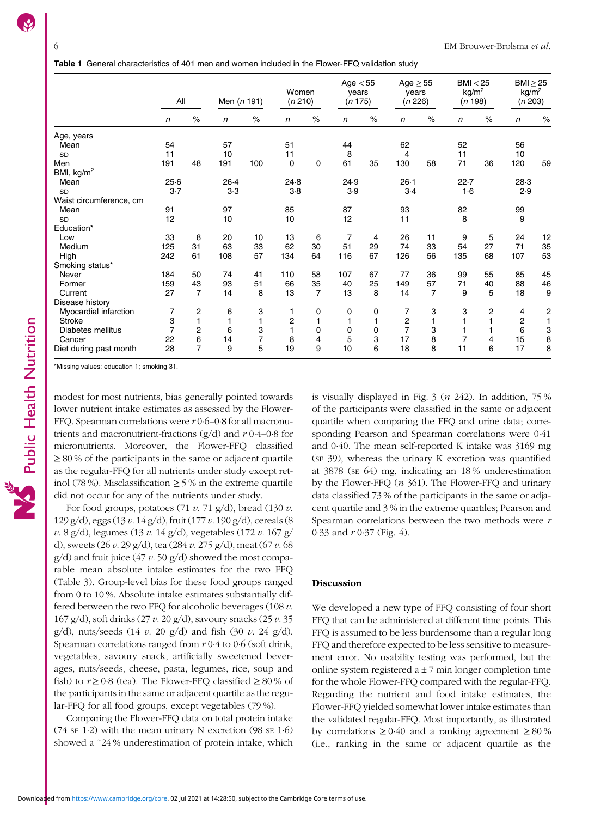<span id="page-5-0"></span>

|                         | All            |                | Men $(n 191)$ |      | Women<br>(n 210) |                | Age $< 55$<br>vears<br>(n 175) |      | $Age \geq 55$<br>vears<br>(n 226) |          | BMI < 25<br>kg/m <sup>2</sup><br>(n 198) |                | $BMl \geq 25$<br>kg/m <sup>2</sup><br>(n 203) |                         |  |
|-------------------------|----------------|----------------|---------------|------|------------------|----------------|--------------------------------|------|-----------------------------------|----------|------------------------------------------|----------------|-----------------------------------------------|-------------------------|--|
|                         | $\mathsf{n}$   | $\%$           | $\sqrt{n}$    | $\%$ | $\mathsf{n}$     | $\%$           | $\mathsf{n}$                   | $\%$ | $\mathsf{n}$                      | $\%$     | $\mathsf{n}$                             | $\%$           | $\mathsf{n}$                                  | $\%$                    |  |
| Age, years              |                |                |               |      |                  |                |                                |      |                                   |          |                                          |                |                                               |                         |  |
| Mean                    | 54             |                | 57            |      | 51               |                | 44                             |      | 62                                |          | 52                                       |                | 56                                            |                         |  |
| <b>SD</b>               | 11             |                | 10            |      | 11               |                | 8                              |      | 4                                 |          | 11                                       |                | 10                                            |                         |  |
| Men                     | 191            | 48             | 191           | 100  | 0                | $\mathbf 0$    | 61                             | 35   | 130                               | 58       | 71                                       | 36             | 120                                           | 59                      |  |
| BMI, kg/m <sup>2</sup>  |                |                |               |      |                  |                |                                |      |                                   |          |                                          |                |                                               |                         |  |
| Mean                    | 25.6           |                | 26.4          |      |                  | 24.8           |                                | 24.9 |                                   | $26 - 1$ |                                          | 22.7           |                                               | 28.3                    |  |
| <b>SD</b>               | 3.7            |                | 3.3           |      | $3-8$            |                | 3.9                            |      | 3.4                               |          | 1·6                                      |                | 2.9                                           |                         |  |
| Waist circumference, cm |                |                |               |      |                  |                |                                |      |                                   |          |                                          |                |                                               |                         |  |
| Mean                    | 91             |                | 97            |      | 85               |                | 87                             |      | 93                                |          | 82                                       |                | 99                                            |                         |  |
| <b>SD</b>               | 12             |                | 10            |      | 10               |                | 12                             |      | 11                                |          | 8                                        |                | 9                                             |                         |  |
| Education*              |                |                |               |      |                  |                |                                |      |                                   |          |                                          |                |                                               |                         |  |
| Low                     | 33             | 8              | 20            | 10   | 13               | 6              | 7                              | 4    | 26                                | 11       | 9                                        | 5              | 24                                            | 12                      |  |
| Medium                  | 125            | 31             | 63            | 33   | 62               | 30             | 51                             | 29   | 74                                | 33       | 54                                       | 27             | 71                                            | 35                      |  |
| High                    | 242            | 61             | 108           | 57   | 134              | 64             | 116                            | 67   | 126                               | 56       | 135                                      | 68             | 107                                           | 53                      |  |
| Smoking status*         |                |                |               |      |                  |                |                                |      |                                   |          |                                          |                |                                               |                         |  |
| Never                   | 184            | 50             | 74            | 41   | 110              | 58             | 107                            | 67   | 77                                | 36       | 99                                       | 55             | 85                                            | 45                      |  |
| Former                  | 159            | 43             | 93            | 51   | 66               | 35             | 40                             | 25   | 149                               | 57       | 71                                       | 40             | 88                                            | 46                      |  |
| Current                 | 27             | $\overline{7}$ | 14            | 8    | 13               | $\overline{7}$ | 13                             | 8    | 14                                | 7        | 9                                        | 5              | 18                                            | 9                       |  |
| Disease history         |                |                |               |      |                  |                |                                |      |                                   |          |                                          |                |                                               |                         |  |
| Myocardial infarction   | 7              | 2              | 6             | 3    |                  | 0              | 0                              | 0    | 7                                 | 3        | 3                                        | $\overline{c}$ | 4                                             | $\overline{\mathbf{c}}$ |  |
| <b>Stroke</b>           | 3              | 1              | $\mathbf{1}$  | 1    | $\overline{c}$   |                | $\mathbf{1}$                   | 1    | 2                                 |          |                                          |                | $\overline{\mathbf{c}}$                       | 1                       |  |
| Diabetes mellitus       | $\overline{7}$ | 2              | 6             | 3    | $\overline{1}$   | 0              | 0                              | 0    | $\overline{7}$                    | 3        |                                          |                | 6                                             | 3                       |  |
| Cancer                  | 22             | 6              | 14            | 7    | 8                | 4              | 5                              | 3    | 17                                | 8        |                                          | 4              | 15                                            | 8                       |  |
| Diet during past month  | 28             | $\overline{7}$ | 9             | 5    | 19               | 9              | 10                             | 6    | 18                                | 8        | 11                                       | 6              | 17                                            | 8                       |  |

\*Missing values: education 1; smoking 31.

modest for most nutrients, bias generally pointed towards lower nutrient intake estimates as assessed by the Flower-FFQ. Spearman correlations were  $r$  0·6–0·8 for all macronutrients and macronutrient-fractions (g/d) and r 0·4–0·8 for micronutrients. Moreover, the Flower-FFQ classified ≥ 80 % of the participants in the same or adjacent quartile as the regular-FFQ for all nutrients under study except retinol (78 %). Misclassification  $\geq$  5 % in the extreme quartile did not occur for any of the nutrients under study.

For food groups, potatoes (71  $v$ . 71 g/d), bread (130  $v$ . 129 g/d), eggs (13 v. 14 g/d), fruit (177 v. 190 g/d), cereals (8 v. 8 g/d), legumes (13 v. 14 g/d), vegetables (172 v. 167 g/ d), sweets (26  $v$ . 29 g/d), tea (284  $v$ . 275 g/d), meat (67  $v$ . 68  $g/d$ ) and fruit juice (47 v. 50  $g/d$ ) showed the most comparable mean absolute intake estimates for the two FFQ (Table [3](#page-7-0)). Group-level bias for these food groups ranged from 0 to 10 %. Absolute intake estimates substantially differed between the two FFQ for alcoholic beverages (108 v. 167 g/d), soft drinks (27 v. 20 g/d), savoury snacks (25 v. 35  $g/d$ ), nuts/seeds (14 v. 20  $g/d$ ) and fish (30 v. 24  $g/d$ ). Spearman correlations ranged from  $r \, 0.4$  to  $0.6$  (soft drink, vegetables, savoury snack, artificially sweetened beverages, nuts/seeds, cheese, pasta, legumes, rice, soup and fish) to  $r \ge 0.8$  (tea). The Flower-FFQ classified  $\ge 80\%$  of the participants in the same or adjacent quartile as the regular-FFQ for all food groups, except vegetables (79 %).

Comparing the Flower-FFQ data on total protein intake (74 SE 1·2) with the mean urinary N excretion (98 SE 1·6) showed a ˜24 % underestimation of protein intake, which

is visually displayed in Fig.  $3(n 242)$ . In addition, 75% of the participants were classified in the same or adjacent quartile when comparing the FFQ and urine data; corresponding Pearson and Spearman correlations were 0·41 and 0·40. The mean self-reported K intake was 3169 mg (SE 39), whereas the urinary K excretion was quantified at 3878 (SE 64) mg, indicating an 18 % underestimation by the Flower-FFQ  $(n 361)$ . The Flower-FFQ and urinary data classified 73 % of the participants in the same or adjacent quartile and 3 % in the extreme quartiles; Pearson and Spearman correlations between the two methods were r 0·33 and r 0·37 (Fig. [4](#page-8-0)).

#### Discussion

We developed a new type of FFQ consisting of four short FFQ that can be administered at different time points. This FFQ is assumed to be less burdensome than a regular long FFQ and therefore expected to be less sensitive to measurement error. No usability testing was performed, but the online system registered  $a \pm 7$  min longer completion time for the whole Flower-FFQ compared with the regular-FFQ. Regarding the nutrient and food intake estimates, the Flower-FFQ yielded somewhat lower intake estimates than the validated regular-FFQ. Most importantly, as illustrated by correlations  $\geq 0.40$  and a ranking agreement  $\geq 80\%$ (i.e., ranking in the same or adjacent quartile as the

Public Health Nutrition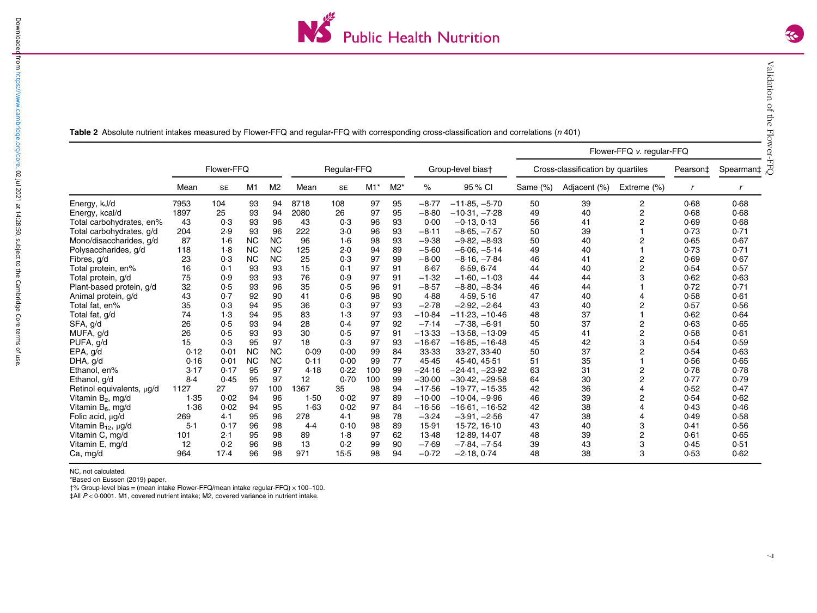

<span id="page-6-0"></span>Table 2 Absolute nutrient intakes measured by Flower-FFQ and regular-FFQ with corresponding cross-classification and correlations (n 401)

|                                |            |           |           |                |      |           |       |       |                   |                                   | Flower-FFQ v. regular-FFQ |              |             |           |      |  |
|--------------------------------|------------|-----------|-----------|----------------|------|-----------|-------|-------|-------------------|-----------------------------------|---------------------------|--------------|-------------|-----------|------|--|
|                                | Flower-FFQ |           |           | Regular-FFQ    |      |           |       |       | Group-level biast | Cross-classification by quartiles |                           |              | Pearson‡    | Spearman‡ |      |  |
|                                | Mean       | <b>SE</b> | M1        | M <sub>2</sub> | Mean | <b>SE</b> | $M1*$ | $M2*$ | ℅                 | 95 % CI                           | Same (%)                  | Adjacent (%) | Extreme (%) |           |      |  |
| Energy, kJ/d                   | 7953       | 104       | 93        | 94             | 8718 | 108       | 97    | 95    | $-8.77$           | $-11.85, -5.70$                   | 50                        | 39           | 2           | 0.68      | 0.68 |  |
| Energy, kcal/d                 | 1897       | 25        | 93        | 94             | 2080 | 26        | 97    | 95    | $-8.80$           | $-10.31, -7.28$                   | 49                        | 40           | 2           | 0.68      | 0.68 |  |
| Total carbohydrates, en%       | 43         | 0.3       | 93        | 96             | 43   | 0.3       | 96    | 93    | 0.00              | $-0.13, 0.13$                     | 56                        | 41           | 2           | 0.69      | 0.68 |  |
| Total carbohydrates, g/d       | 204        | 2.9       | 93        | 96             | 222  | 3.0       | 96    | 93    | $-8.11$           | $-8.65, -7.57$                    | 50                        | 39           |             | 0.73      | 0.71 |  |
| Mono/disaccharides, g/d        | 87         | 1·6       | <b>NC</b> | <b>NC</b>      | 96   | 1.6       | 98    | 93    | $-9.38$           | $-9.82, -8.93$                    | 50                        | 40           | 2           | 0.65      | 0.67 |  |
| Polysaccharides, g/d           | 118        | 1.8       | <b>NC</b> | <b>NC</b>      | 125  | 2.0       | 94    | 89    | $-5.60$           | $-6.06, -5.14$                    | 49                        | 40           |             | 0.73      | 0.71 |  |
| Fibres, g/d                    | 23         | 0.3       | <b>NC</b> | <b>NC</b>      | 25   | 0.3       | 97    | 99    | $-8.00$           | $-8.16, -7.84$                    | 46                        | 41           | 2           | 0.69      | 0.67 |  |
| Total protein, en%             | 16         | 0.1       | 93        | 93             | 15   | 0.1       | 97    | 91    | 6.67              | 6.59, 6.74                        | 44                        | 40           | 2           | 0.54      | 0.57 |  |
| Total protein, g/d             | 75         | 0.9       | 93        | 93             | 76   | 0.9       | 97    | 91    | $-1.32$           | $-1.60, -1.03$                    | 44                        | 44           | З           | 0.62      | 0.63 |  |
| Plant-based protein, g/d       | 32         | 0.5       | 93        | 96             | 35   | 0.5       | 96    | 91    | $-8.57$           | $-8.80, -8.34$                    | 46                        | 44           |             | 0.72      | 0.71 |  |
| Animal protein, g/d            | 43         | 0.7       | 92        | 90             | 41   | 0.6       | 98    | 90    | 4.88              | 4.59, 5.16                        | 47                        | 40           |             | 0.58      | 0.61 |  |
| Total fat, en%                 | 35         | 0.3       | 94        | 95             | 36   | 0.3       | 97    | 93    | $-2.78$           | $-2.92, -2.64$                    | 43                        | 40           |             | 0.57      | 0.56 |  |
| Total fat, g/d                 | 74         | 1.3       | 94        | 95             | 83   | 1.3       | 97    | 93    | $-10.84$          | $-11.23, -10.46$                  | 48                        | 37           |             | 0.62      | 0.64 |  |
| SFA, g/d                       | 26         | 0.5       | 93        | 94             | 28   | 0.4       | 97    | 92    | $-7.14$           | $-7.38. -6.91$                    | 50                        | 37           | 2           | 0.63      | 0.65 |  |
| MUFA, g/d                      | 26         | 0.5       | 93        | 93             | 30   | 0.5       | 97    | 91    | $-13.33$          | $-13.58, -13.09$                  | 45                        | 41           | 2           | 0.58      | 0.61 |  |
| PUFA, g/d                      | 15         | 0.3       | 95        | 97             | 18   | 0.3       | 97    | 93    | $-16.67$          | $-16.85, -16.48$                  | 45                        | 42           | 3           | 0.54      | 0.59 |  |
| EPA, g/d                       | 0.12       | 0.01      | <b>NC</b> | <b>NC</b>      | 0.09 | 0.00      | 99    | 84    | 33.33             | 33-27, 33-40                      | 50                        | 37           | 2           | 0.54      | 0.63 |  |
| DHA, g/d                       | 0.16       | 0.01      | <b>NC</b> | <b>NC</b>      | 0.11 | 0.00      | 99    | 77    | 45.45             | 45.40, 45.51                      | 51                        | 35           |             | 0.56      | 0.65 |  |
| Ethanol, en%                   | 3.17       | 0.17      | 95        | 97             | 4.18 | 0.22      | 100   | 99    | $-24.16$          | $-24.41, -23.92$                  | 63                        | 31           | 2           | 0.78      | 0.78 |  |
| Ethanol, g/d                   | 8.4        | 0.45      | 95        | 97             | 12   | 0.70      | 100   | 99    | $-30.00$          | $-30.42, -29.58$                  | 64                        | 30           | 2           | 0.77      | 0.79 |  |
| Retinol equivalents, μg/d      | 1127       | 27        | 97        | 100            | 1367 | 35        | 98    | 94    | $-17.56$          | $-19.77, -15.35$                  | 42                        | 36           |             | 0.52      | 0.47 |  |
| Vitamin B <sub>2</sub> , mg/d  | 1.35       | 0.02      | 94        | 96             | 1.50 | 0.02      | 97    | 89    | $-10.00$          | $-10.04. -9.96$                   | 46                        | 39           | 2           | 0.54      | 0.62 |  |
| Vitamin B <sub>6</sub> , mg/d  | 1.36       | 0.02      | 94        | 95             | 1.63 | 0.02      | 97    | 84    | $-16.56$          | $-16.61, -16.52$                  | 42                        | 38           |             | 0.43      | 0.46 |  |
| Folic acid, µg/d               | 269        | 4.1       | 95        | 96             | 278  | 4.1       | 98    | 78    | $-3.24$           | $-3.91, -2.56$                    | 47                        | 38           |             | 0.49      | 0.58 |  |
| Vitamin B <sub>12</sub> , µg/d | $5-1$      | 0.17      | 96        | 98             | 4.4  | 0.10      | 98    | 89    | 15.91             | 15.72, 16.10                      | 43                        | 40           | 3           | 0.41      | 0.56 |  |
| Vitamin C, mg/d                | 101        | 2.1       | 95        | 98             | 89   | 1.8       | 97    | 62    | 13.48             | 12.89, 14.07                      | 48                        | 39           | 2           | 0.61      | 0.65 |  |
| Vitamin E, mg/d                | 12         | 0.2       | 96        | 98             | 13   | 0.2       | 99    | 90    | $-7.69$           | $-7.84, -7.54$                    | 39                        | 43           | 3           | 0.45      | 0.51 |  |
| Ca, mg/d                       | 964        | 17.4      | 96        | 98             | 971  | $15-5$    | 98    | 94    | $-0.72$           | $-2.18, 0.74$                     | 48                        | 38           | 3           | 0.53      | 0.62 |  |

NC, not calculated.

\*Based on Eussen (2019) paper.

 $\dagger\%$  Group-level bias = (mean intake Flower-FFQ/mean intake regular-FFQ)  $\times$  100-100.

 $\ddagger$ All  $P < 0.0001$ . M1, covered nutrient intake; M2, covered variance in nutrient intake.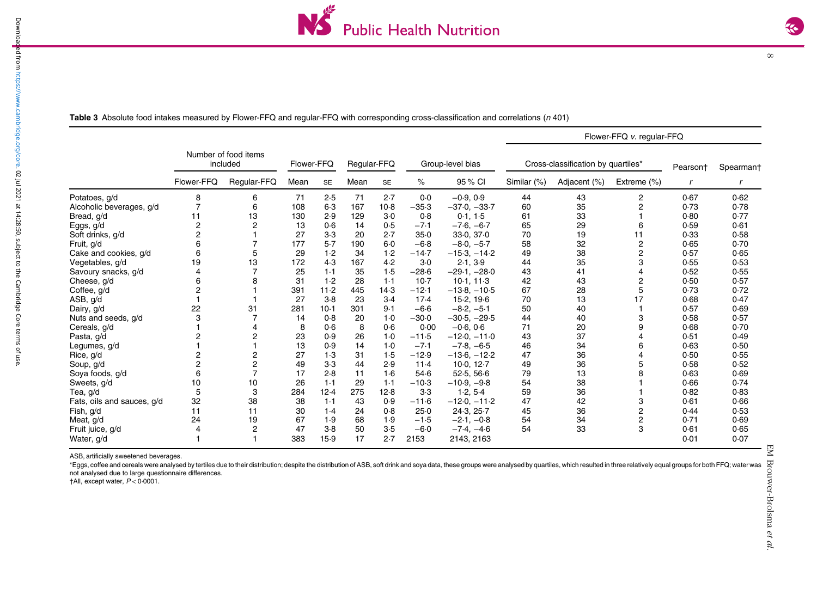

 $\infty$ 

Table 3 Absolute food intakes measured by Flower-FFQ and regular-FFQ with corresponding cross-classification and correlations (n 401)

|                            |                                  |                |            |           |             |           |                  |                | Flower-FFQ v. regular-FFQ          |              |                |                      |           |  |
|----------------------------|----------------------------------|----------------|------------|-----------|-------------|-----------|------------------|----------------|------------------------------------|--------------|----------------|----------------------|-----------|--|
|                            | Number of food items<br>included |                | Flower-FFQ |           | Regular-FFQ |           | Group-level bias |                | Cross-classification by quartiles* |              |                | Pearson <sup>+</sup> | Spearmant |  |
|                            | Flower-FFQ                       | Regular-FFQ    | Mean       | <b>SE</b> | Mean        | <b>SE</b> | ℅                | 95% CI         | Similar (%)                        | Adjacent (%) | Extreme (%)    |                      |           |  |
| Potatoes, g/d              | 8                                | 6              | 71         | 2.5       | 71          | 2.7       | 0.0              | $-0.9.0.9$     | 44                                 | 43           | 2              | 0.67                 | 0.62      |  |
| Alcoholic beverages, g/d   |                                  | 6              | 108        | $6-3$     | 167         | $10-8$    | $-35.3$          | $-37.0, -33.7$ | 60                                 | 35           | 2              | 0.73                 | 0.78      |  |
| Bread, g/d                 | 11                               | 13             | 130        | 2.9       | 129         | $3-0$     | 0.8              | 0.1, 1.5       | 61                                 | 33           |                | 0.80                 | 0.77      |  |
| Eggs, g/d                  | $\overline{c}$                   | 2              | 13         | 0.6       | 14          | 0.5       | $-7.1$           | $-7.6, -6.7$   | 65                                 | 29           | 6              | 0.59                 | 0.61      |  |
| Soft drinks, g/d           | 2                                |                | 27         | $3-3$     | 20          | 2.7       | $35-0$           | 33.0, 37.0     | 70                                 | 19           | 11             | 0.33                 | 0.58      |  |
| Fruit, g/d                 | 6                                |                | 177        | 5.7       | 190         | $6 - 0$   | $-6.8$           | $-8.0, -5.7$   | 58                                 | 32           | $\overline{c}$ | 0.65                 | 0.70      |  |
| Cake and cookies, g/d      | 6                                | 5              | 29         | 1.2       | 34          | 1.2       | $-14.7$          | $-15.3, -14.2$ | 49                                 | 38           | 2              | 0.57                 | 0.65      |  |
| Vegetables, g/d            | 19                               | 13             | 172        | 4.3       | 167         | 4.2       | $3-0$            | 2.1, 3.9       | 44                                 | 35           | 3              | 0.55                 | 0.53      |  |
| Savoury snacks, g/d        |                                  |                | 25         | 1.1       | 35          | 1.5       | $-28.6$          | $-29.1, -28.0$ | 43                                 | 41           |                | 0.52                 | 0.55      |  |
| Cheese, g/d                | 6                                | 8              | 31         | 1.2       | 28          | 1.1       | $10-7$           | 10.1, 11.3     | 42                                 | 43           | 2              | 0.50                 | 0.57      |  |
| Coffee, g/d                |                                  |                | 391        | 11.2      | 445         | 14.3      | $-12.1$          | $-13.8, -10.5$ | 67                                 | 28           | 5              | 0.73                 | 0.72      |  |
| ASB, g/d                   |                                  |                | 27         | $3-8$     | 23          | 3.4       | 17.4             | 15.2, 19.6     | 70                                 | 13           | 17             | 0.68                 | 0.47      |  |
| Dairy, g/d                 | 22                               | 31             | 281        | $10-1$    | 301         | 9.1       | $-6.6$           | $-8.2, -5.1$   | 50                                 | 40           |                | 0.57                 | 0.69      |  |
| Nuts and seeds, g/d        |                                  |                | 14         | 0.8       | 20          | 1.0       | $-30.0$          | $-30.5, -29.5$ | 44                                 | 40           | 3              | 0.58                 | 0.57      |  |
| Cereals, g/d               |                                  | 4              | 8          | 0.6       | 8           | 0.6       | 0.00             | $-0.6, 0.6$    | 71                                 | 20           | 9              | 0.68                 | 0.70      |  |
| Pasta, g/d                 | 2                                | 2              | 23         | 0.9       | 26          | 1.0       | $-11.5$          | $-12.0, -11.0$ | 43                                 | 37           |                | 0.51                 | 0.49      |  |
| Legumes, g/d               |                                  |                | 13         | 0.9       | 14          | 1.0       | $-7.1$           | $-7.8, -6.5$   | 46                                 | 34           | 6              | 0.63                 | 0.50      |  |
| Rice, g/d                  |                                  | $\overline{c}$ | 27         | 1.3       | 31          | 1.5       | $-12.9$          | $-13.6, -12.2$ | 47                                 | 36           |                | 0.50                 | 0.55      |  |
| Soup, g/d                  | 2                                | $\overline{c}$ | 49         | $3-3$     | 44          | 2.9       | 11.4             | 10.0, 12.7     | 49                                 | 36           |                | 0.58                 | 0.52      |  |
| Soya foods, g/d            | 6                                | 7              | 17         | 2.8       | 11          | 1.6       | 54.6             | 52.5, 56.6     | 79                                 | 13           |                | 0.63                 | 0.69      |  |
| Sweets, g/d                | 10                               | 10             | 26         | 1.1       | 29          | 1.1       | $-10.3$          | $-10.9, -9.8$  | 54                                 | 38           |                | 0.66                 | 0.74      |  |
| Tea, g/d                   | 5                                | 3              | 284        | 12.4      | 275         | 12.8      | $3-3$            | 1.2, 5.4       | 59                                 | 36           |                | 0.82                 | 0.83      |  |
| Fats, oils and sauces, g/d | 32                               | 38             | 38         | 1.1       | 43          | 0.9       | $-11.6$          | $-12.0, -11.2$ | 47                                 | 42           | 3              | 0.61                 | 0.66      |  |
| Fish, g/d                  | 11                               | 11             | 30         | 1.4       | 24          | 0.8       | 25.0             | 24.3, 25.7     | 45                                 | 36           | 2              | 0.44                 | 0.53      |  |
| Meat, g/d                  | 24                               | 19             | 67         | 1.9       | 68          | 1.9       | $-1.5$           | $-2.1, -0.8$   | 54                                 | 34           | 2              | 0.71                 | 0.69      |  |
| Fruit juice, g/d           |                                  | 2              | 47         | $3-8$     | 50          | 3.5       | $-6.0$           | $-7.4, -4.6$   | 54                                 | 33           | 3              | 0.61                 | 0.65      |  |
| Water, g/d                 |                                  |                | 383        | 15.9      | 17          | 2.7       | 2153             | 2143, 2163     |                                    |              |                | 0.01                 | 0.07      |  |

ASB, artificially sweetened beverages.

\*Eggs, coffee and cereals were analysed by tertiles due to their distribution; despite the distribution of ASB, soft drink and soya data, these groups were analysed by quartiles, which resulted in three relatively equal gr not analysed due to large questionnaire differences.

 $\dagger$ All, except water,  $P < 0.0001$ .

 $\sim$ 

<span id="page-7-0"></span>Downloa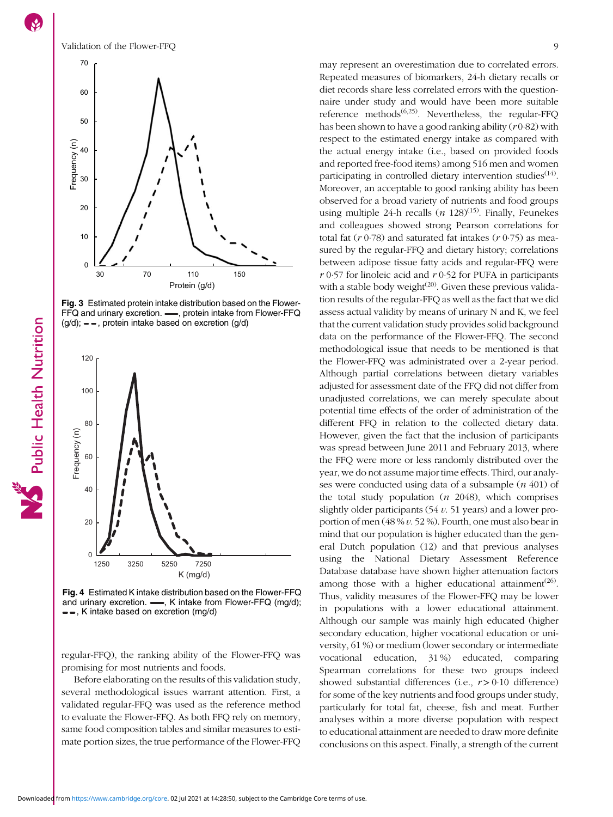

Fig. 3 Estimated protein intake distribution based on the Flower-FFQ and urinary excretion. - protein intake from Flower-FFQ  $(g/d)$ ;  $\equiv$   $\equiv$ , protein intake based on excretion  $(g/d)$ 



Fig. 4 Estimated K intake distribution based on the Flower-FFQ and urinary excretion.  $\longrightarrow$ , K intake from Flower-FFQ (mq/d);  $-$ , K intake based on excretion (mg/d)

regular-FFQ), the ranking ability of the Flower-FFQ was promising for most nutrients and foods.

Before elaborating on the results of this validation study, several methodological issues warrant attention. First, a validated regular-FFQ was used as the reference method to evaluate the Flower-FFQ. As both FFQ rely on memory, same food composition tables and similar measures to estimate portion sizes, the true performance of the Flower-FFQ may represent an overestimation due to correlated errors. Repeated measures of biomarkers, 24-h dietary recalls or diet records share less correlated errors with the questionnaire under study and would have been more suitable reference methods<sup> $(6,25)$  $(6,25)$  $(6,25)$  $(6,25)$ </sup>. Nevertheless, the regular-FFO has been shown to have a good ranking ability  $(r0.82)$  with respect to the estimated energy intake as compared with the actual energy intake (i.e., based on provided foods and reported free-food items) among 516 men and women participating in controlled dietary intervention studies<sup> $(14)$  $(14)$ </sup>. Moreover, an acceptable to good ranking ability has been observed for a broad variety of nutrients and food groups using multiple 24-h recalls  $(n \t128)^{(15)}$  $(n \t128)^{(15)}$  $(n \t128)^{(15)}$ . Finally, Feunekes and colleagues showed strong Pearson correlations for total fat  $(r 0.78)$  and saturated fat intakes  $(r 0.75)$  as measured by the regular-FFQ and dietary history; correlations between adipose tissue fatty acids and regular-FFQ were  $r$  0.57 for linoleic acid and  $r$  0.52 for PUFA in participants with a stable body weight $(20)$ . Given these previous validation results of the regular-FFQ as well as the fact that we did assess actual validity by means of urinary N and K, we feel that the current validation study provides solid background data on the performance of the Flower-FFQ. The second methodological issue that needs to be mentioned is that the Flower-FFQ was administrated over a 2-year period. Although partial correlations between dietary variables adjusted for assessment date of the FFQ did not differ from unadjusted correlations, we can merely speculate about potential time effects of the order of administration of the different FFQ in relation to the collected dietary data. However, given the fact that the inclusion of participants was spread between June 2011 and February 2013, where the FFQ were more or less randomly distributed over the year, we do not assume major time effects. Third, our analyses were conducted using data of a subsample  $(n\ 401)$  of the total study population  $(n \t2048)$ , which comprises slightly older participants  $(54 v. 51 \text{ years})$  and a lower proportion of men (48 % v. 52 %). Fourth, one must also bear in mind that our population is higher educated than the general Dutch population (12) and that previous analyses using the National Dietary Assessment Reference Database database have shown higher attenuation factors among those with a higher educational attainment<sup>[\(26](#page-11-0))</sup>. Thus, validity measures of the Flower-FFQ may be lower in populations with a lower educational attainment. Although our sample was mainly high educated (higher secondary education, higher vocational education or university, 61 %) or medium (lower secondary or intermediate vocational education, 31 %) educated, comparing Spearman correlations for these two groups indeed showed substantial differences (i.e.,  $r > 0.10$  difference) for some of the key nutrients and food groups under study, particularly for total fat, cheese, fish and meat. Further analyses within a more diverse population with respect to educational attainment are needed to draw more definite

conclusions on this aspect. Finally, a strength of the current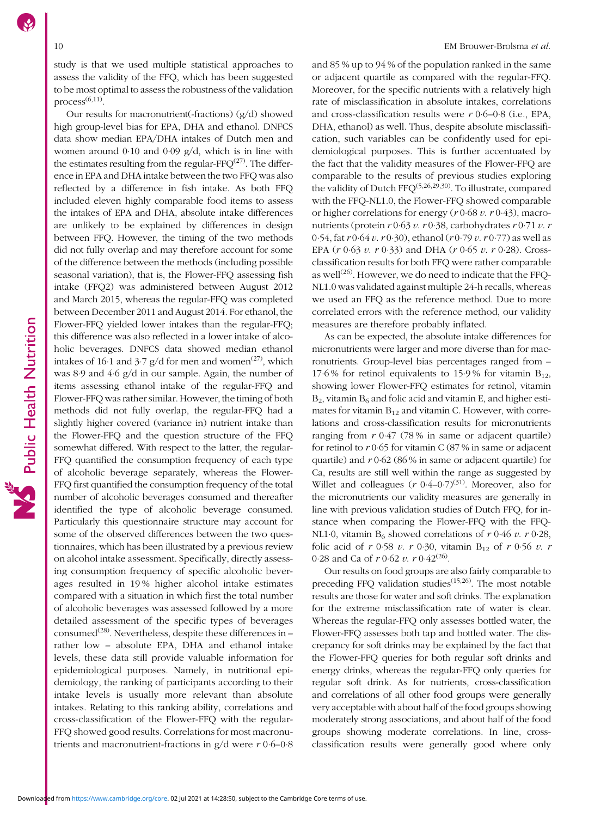study is that we used multiple statistical approaches to assess the validity of the FFQ, which has been suggested to be most optimal to assess the robustness of the validation  $process<sup>(6,11)</sup>$  $process<sup>(6,11)</sup>$  $process<sup>(6,11)</sup>$ 

Our results for macronutrient(-fractions) (g/d) showed high group-level bias for EPA, DHA and ethanol. DNFCS data show median EPA/DHA intakes of Dutch men and women around 0·10 and 0·09 g/d, which is in line with the estimates resulting from the regular- $FFO^{(27)}$  $FFO^{(27)}$  $FFO^{(27)}$ . The difference in EPA and DHA intake between the two FFQ was also reflected by a difference in fish intake. As both FFQ included eleven highly comparable food items to assess the intakes of EPA and DHA, absolute intake differences are unlikely to be explained by differences in design between FFQ. However, the timing of the two methods did not fully overlap and may therefore account for some of the difference between the methods (including possible seasonal variation), that is, the Flower-FFQ assessing fish intake (FFQ2) was administered between August 2012 and March 2015, whereas the regular-FFQ was completed between December 2011 and August 2014. For ethanol, the Flower-FFQ yielded lower intakes than the regular-FFQ; this difference was also reflected in a lower intake of alcoholic beverages. DNFCS data showed median ethanol intakes of 16·1 and 3·7  $g/d$  for men and women<sup>[\(27\)](#page-11-0)</sup>, which was 8·9 and 4·6 g/d in our sample. Again, the number of items assessing ethanol intake of the regular-FFQ and Flower-FFQ was rather similar. However, the timing of both methods did not fully overlap, the regular-FFQ had a slightly higher covered (variance in) nutrient intake than the Flower-FFQ and the question structure of the FFQ somewhat differed. With respect to the latter, the regular-FFQ quantified the consumption frequency of each type of alcoholic beverage separately, whereas the Flower-FFQ first quantified the consumption frequency of the total number of alcoholic beverages consumed and thereafter identified the type of alcoholic beverage consumed. Particularly this questionnaire structure may account for some of the observed differences between the two questionnaires, which has been illustrated by a previous review on alcohol intake assessment. Specifically, directly assessing consumption frequency of specific alcoholic beverages resulted in 19 % higher alcohol intake estimates compared with a situation in which first the total number of alcoholic beverages was assessed followed by a more detailed assessment of the specific types of beverages consumed<sup>[\(28\)](#page-11-0)</sup>. Nevertheless, despite these differences in – rather low – absolute EPA, DHA and ethanol intake levels, these data still provide valuable information for epidemiological purposes. Namely, in nutritional epidemiology, the ranking of participants according to their intake levels is usually more relevant than absolute intakes. Relating to this ranking ability, correlations and cross-classification of the Flower-FFQ with the regular-FFQ showed good results. Correlations for most macronutrients and macronutrient-fractions in  $g/d$  were  $r 0.6-0.8$ 

and 85 % up to 94 % of the population ranked in the same or adjacent quartile as compared with the regular-FFQ. Moreover, for the specific nutrients with a relatively high rate of misclassification in absolute intakes, correlations and cross-classification results were  $r$  0·6–0·8 (i.e., EPA, DHA, ethanol) as well. Thus, despite absolute misclassification, such variables can be confidently used for epidemiological purposes. This is further accentuated by the fact that the validity measures of the Flower-FFQ are comparable to the results of previous studies exploring the validity of Dutch  $FFO^{(5,26,29,30)}$  $FFO^{(5,26,29,30)}$  $FFO^{(5,26,29,30)}$  $FFO^{(5,26,29,30)}$  $FFO^{(5,26,29,30)}$  $FFO^{(5,26,29,30)}$  $FFO^{(5,26,29,30)}$ . To illustrate, compared with the FFQ-NL1.0, the Flower-FFQ showed comparable or higher correlations for energy ( $r$  0·68  $v$ .  $r$  0·43), macronutrients (protein  $r \cdot 0.63 v$ .  $r \cdot 0.38$ , carbohydrates  $r \cdot 0.71 v$ . r 0.54, fat  $r$  0.64  $v$ .  $r$  0.30), ethanol ( $r$  0.79  $v$ .  $r$  0.77) as well as EPA  $(r 0.63 v. r 0.33)$  and DHA  $(r 0.65 v. r 0.28)$ . Crossclassification results for both FFQ were rather comparable as well $^{(26)}$  $^{(26)}$  $^{(26)}$ . However, we do need to indicate that the FFO-NL1.0 was validated against multiple 24-h recalls, whereas we used an FFQ as the reference method. Due to more correlated errors with the reference method, our validity measures are therefore probably inflated.

As can be expected, the absolute intake differences for micronutrients were larger and more diverse than for macronutrients. Group-level bias percentages ranged from – 17.6% for retinol equivalents to 15.9% for vitamin  $B_{12}$ , showing lower Flower-FFQ estimates for retinol, vitamin  $B_2$ , vitamin  $B_6$  and folic acid and vitamin E, and higher estimates for vitamin  $B_{12}$  and vitamin C. However, with correlations and cross-classification results for micronutrients ranging from  $r$  0.47 (78% in same or adjacent quartile) for retinol to  $r$  0·65 for vitamin C (87 % in same or adjacent quartile) and  $r \, 0.62$  (86% in same or adjacent quartile) for Ca, results are still well within the range as suggested by Willet and colleagues  $(r \ 0.4-0.7)^{(31)}$  $(r \ 0.4-0.7)^{(31)}$  $(r \ 0.4-0.7)^{(31)}$ . Moreover, also for the micronutrients our validity measures are generally in line with previous validation studies of Dutch FFQ, for instance when comparing the Flower-FFQ with the FFQ-NL1·0, vitamin B<sub>6</sub> showed correlations of  $r$  0·46  $v$ .  $r$  0·28, folic acid of r 0.58 v. r 0.30, vitamin B<sub>12</sub> of r 0.56 v. r 0.28 and Ca of  $r$  0.62  $v$ .  $r$  0.42<sup>([26\)](#page-11-0)</sup>.

Our results on food groups are also fairly comparable to preceding FFQ validation studies<sup>([15](#page-11-0),[26](#page-11-0))</sup>. The most notable results are those for water and soft drinks. The explanation for the extreme misclassification rate of water is clear. Whereas the regular-FFQ only assesses bottled water, the Flower-FFQ assesses both tap and bottled water. The discrepancy for soft drinks may be explained by the fact that the Flower-FFQ queries for both regular soft drinks and energy drinks, whereas the regular-FFQ only queries for regular soft drink. As for nutrients, cross-classification and correlations of all other food groups were generally very acceptable with about half of the food groups showing moderately strong associations, and about half of the food groups showing moderate correlations. In line, crossclassification results were generally good where only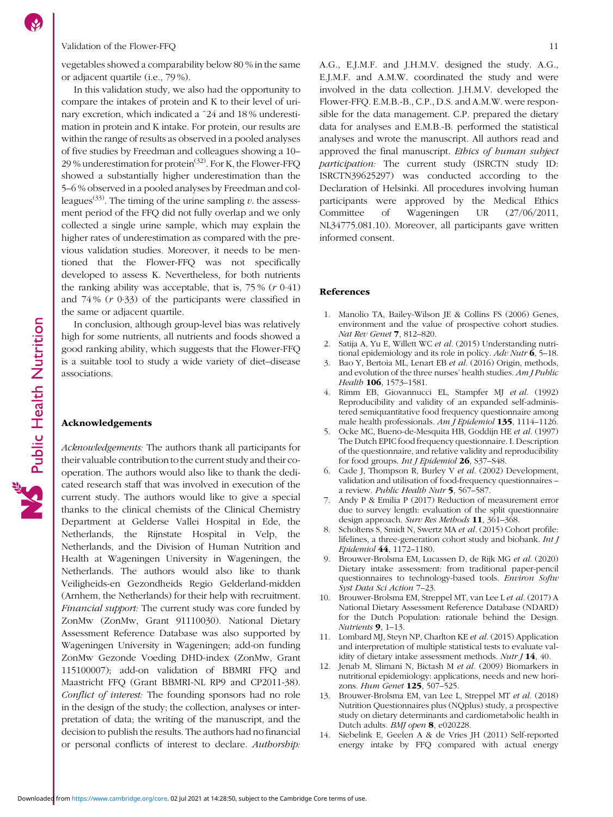<span id="page-10-0"></span>vegetables showed a comparability below 80 % in the same or adjacent quartile (i.e., 79 %).

In this validation study, we also had the opportunity to compare the intakes of protein and K to their level of urinary excretion, which indicated a ˜24 and 18 % underestimation in protein and K intake. For protein, our results are within the range of results as observed in a pooled analyses of five studies by Freedman and colleagues showing a 10– 29 % underestimation for protein<sup>[\(32\)](#page-11-0)</sup>. For K, the Flower-FFQ showed a substantially higher underestimation than the 5–6 % observed in a pooled analyses by Freedman and col-leagues<sup>[\(33](#page-11-0))</sup>. The timing of the urine sampling  $v$ . the assessment period of the FFQ did not fully overlap and we only collected a single urine sample, which may explain the higher rates of underestimation as compared with the previous validation studies. Moreover, it needs to be mentioned that the Flower-FFQ was not specifically developed to assess K. Nevertheless, for both nutrients the ranking ability was acceptable, that is,  $75\%$  ( $r \t0.41$ ) and 74 % (r 0·33) of the participants were classified in the same or adjacent quartile.

In conclusion, although group-level bias was relatively high for some nutrients, all nutrients and foods showed a good ranking ability, which suggests that the Flower-FFQ is a suitable tool to study a wide variety of diet–disease associations.

# Acknowledgements

Public Health Nutrition

Acknowledgements: The authors thank all participants for their valuable contribution to the current study and their cooperation. The authors would also like to thank the dedicated research staff that was involved in execution of the current study. The authors would like to give a special thanks to the clinical chemists of the Clinical Chemistry Department at Gelderse Vallei Hospital in Ede, the Netherlands, the Rijnstate Hospital in Velp, the Netherlands, and the Division of Human Nutrition and Health at Wageningen University in Wageningen, the Netherlands. The authors would also like to thank Veiligheids-en Gezondheids Regio Gelderland-midden (Arnhem, the Netherlands) for their help with recruitment. Financial support: The current study was core funded by ZonMw (ZonMw, Grant 91110030). National Dietary Assessment Reference Database was also supported by Wageningen University in Wageningen; add-on funding ZonMw Gezonde Voeding DHD-index (ZonMw, Grant 115100007); add-on validation of BBMRI FFQ and Maastricht FFQ (Grant BBMRI-NL RP9 and CP2011-38). Conflict of interest: The founding sponsors had no role in the design of the study; the collection, analyses or interpretation of data; the writing of the manuscript, and the decision to publish the results. The authors had no financial or personal conflicts of interest to declare. Authorship:

A.G., E.J.M.F. and J.H.M.V. designed the study. A.G., E.J.M.F. and A.M.W. coordinated the study and were involved in the data collection. J.H.M.V. developed the Flower-FFQ. E.M.B.-B., C.P., D.S. and A.M.W. were responsible for the data management. C.P. prepared the dietary data for analyses and E.M.B.-B. performed the statistical analyses and wrote the manuscript. All authors read and approved the final manuscript. Ethics of human subject participation: The current study (ISRCTN study ID: ISRCTN39625297) was conducted according to the Declaration of Helsinki. All procedures involving human participants were approved by the Medical Ethics Committee of Wageningen UR (27/06/2011, NL34775.081.10). Moreover, all participants gave written informed consent.

# References

- 1. Manolio TA, Bailey-Wilson JE & Collins FS (2006) Genes, environment and the value of prospective cohort studies. Nat Rev Genet 7, 812–820.
- 2. Satija A, Yu E, Willett WC et al. (2015) Understanding nutritional epidemiology and its role in policy. Adv Nutr  $6$ , 5-18.
- 3. Bao Y, Bertoia ML, Lenart EB et al. (2016) Origin, methods, and evolution of the three nurses' health studies. Am J Public Health **106**, 1573-1581.
- 4. Rimm EB, Giovannucci EL, Stampfer MJ et al. (1992) Reproducibility and validity of an expanded self-administered semiquantitative food frequency questionnaire among male health professionals. Am J Epidemiol 135, 1114-1126.
- 5. Ocke MC, Bueno-de-Mesquita HB, Goddijn HE et al. (1997) The Dutch EPIC food frequency questionnaire. I. Description of the questionnaire, and relative validity and reproducibility for food groups. Int J Epidemiol 26, S37-S48.
- 6. Cade J, Thompson R, Burley V et al. (2002) Development, validation and utilisation of food-frequency questionnaires – a review. Public Health Nutr 5, 567–587.
- 7. Andy P & Emilia P (2017) Reduction of measurement error due to survey length: evaluation of the split questionnaire design approach. Surv Res Methods 11, 361–368.
- 8. Scholtens S, Smidt N, Swertz MA et al. (2015) Cohort profile: lifelines, a three-generation cohort study and biobank. Int J Epidemiol 44, 1172–1180.
- 9. Brouwer-Brolsma EM, Lucassen D, de Rijk MG et al. (2020) Dietary intake assessment: from traditional paper-pencil questionnaires to technology-based tools. Environ Softw Syst Data Sci Action 7–23.
- 10. Brouwer-Brolsma EM, Streppel MT, van Lee L et al. (2017) A National Dietary Assessment Reference Database (NDARD) for the Dutch Population: rationale behind the Design. Nutrients 9, 1–13.
- 11. Lombard MJ, Steyn NP, Charlton KE et al. (2015) Application and interpretation of multiple statistical tests to evaluate validity of dietary intake assessment methods. Nutr  $J$  14, 40.
- 12. Jenab M, Slimani N, Bictash M et al. (2009) Biomarkers in nutritional epidemiology: applications, needs and new horizons. Hum Genet 125, 507–525.
- 13. Brouwer-Brolsma EM, van Lee L, Streppel MT et al. (2018) Nutrition Questionnaires plus (NQplus) study, a prospective study on dietary determinants and cardiometabolic health in Dutch adults. BMJ open 8, e020228.
- 14. Siebelink E, Geelen A & de Vries JH (2011) Self-reported energy intake by FFQ compared with actual energy